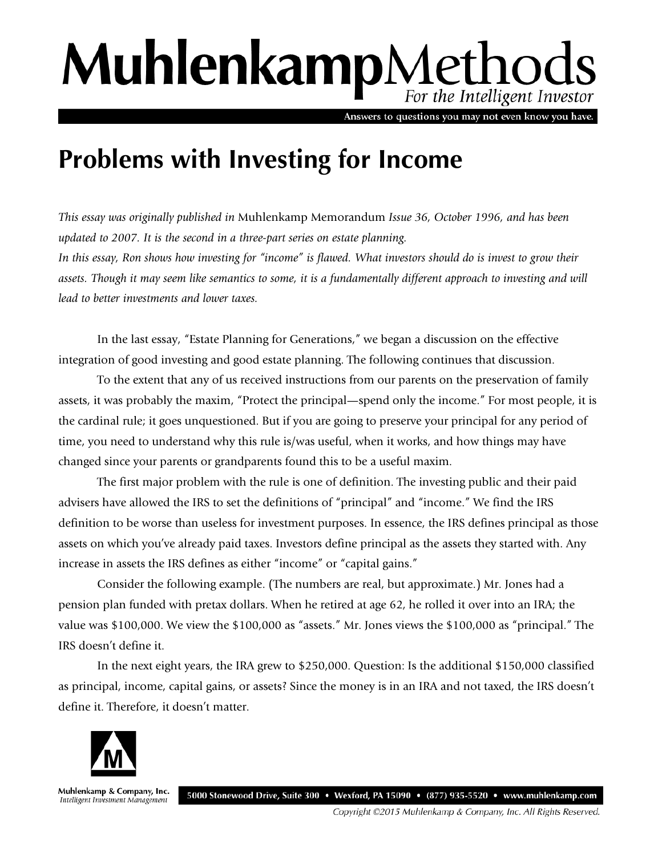# MuhlenkampMethods For the Intelligent Investor

Answers to questions you may not even know you have.

# **Problems with Investing for Income**

*This essay was originally published in* Muhlenkamp Memorandum *Issue 36, October 1996, and has been updated to 2007. It is the second in a three-part series on estate planning.* 

*In this essay, Ron shows how investing for "income" is flawed. What investors should do is invest to grow their assets. Though it may seem like semantics to some, it is a fundamentally different approach to investing and will lead to better investments and lower taxes.*

In the last essay, "Estate Planning for Generations," we began a discussion on the effective integration of good investing and good estate planning. The following continues that discussion.

To the extent that any of us received instructions from our parents on the preservation of family assets, it was probably the maxim, "Protect the principal—spend only the income." For most people, it is the cardinal rule; it goes unquestioned. But if you are going to preserve your principal for any period of time, you need to understand why this rule is/was useful, when it works, and how things may have changed since your parents or grandparents found this to be a useful maxim.

The first major problem with the rule is one of definition. The investing public and their paid advisers have allowed the IRS to set the definitions of "principal" and "income." We find the IRS definition to be worse than useless for investment purposes. In essence, the IRS defines principal as those assets on which you've already paid taxes. Investors define principal as the assets they started with. Any increase in assets the IRS defines as either "income" or "capital gains."

Consider the following example. (The numbers are real, but approximate.) Mr. Jones had a pension plan funded with pretax dollars. When he retired at age 62, he rolled it over into an IRA; the value was \$100,000. We view the \$100,000 as "assets." Mr. Jones views the \$100,000 as "principal." The IRS doesn't define it.

In the next eight years, the IRA grew to \$250,000. Question: Is the additional \$150,000 classified as principal, income, capital gains, or assets? Since the money is in an IRA and not taxed, the IRS doesn't define it. Therefore, it doesn't matter.



Muhlenkamp & Company, Inc. Intelligent Investment Management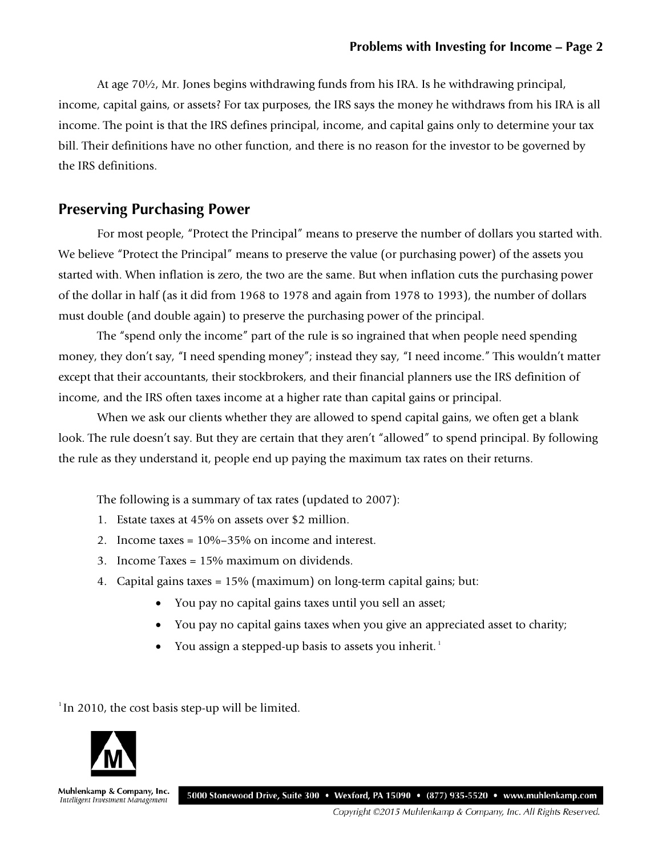At age 70½, Mr. Jones begins withdrawing funds from his IRA. Is he withdrawing principal, income, capital gains, or assets? For tax purposes, the IRS says the money he withdraws from his IRA is all income. The point is that the IRS defines principal, income, and capital gains only to determine your tax bill. Their definitions have no other function, and there is no reason for the investor to be governed by the IRS definitions.

## **Preserving Purchasing Power**

For most people, "Protect the Principal" means to preserve the number of dollars you started with. We believe "Protect the Principal" means to preserve the value (or purchasing power) of the assets you started with. When inflation is zero, the two are the same. But when inflation cuts the purchasing power of the dollar in half (as it did from 1968 to 1978 and again from 1978 to 1993), the number of dollars must double (and double again) to preserve the purchasing power of the principal.

The "spend only the income" part of the rule is so ingrained that when people need spending money, they don't say, "I need spending money"; instead they say, "I need income." This wouldn't matter except that their accountants, their stockbrokers, and their financial planners use the IRS definition of income, and the IRS often taxes income at a higher rate than capital gains or principal.

When we ask our clients whether they are allowed to spend capital gains, we often get a blank look. The rule doesn't say. But they are certain that they aren't "allowed" to spend principal. By following the rule as they understand it, people end up paying the maximum tax rates on their returns.

The following is a summary of tax rates (updated to 2007):

- 1. Estate taxes at 45% on assets over \$2 million.
- 2. Income taxes = 10%–35% on income and interest.
- 3. Income Taxes = 15% maximum on dividends.
- 4. Capital gains taxes = 15% (maximum) on long-term capital gains; but:
	- You pay no capital gains taxes until you sell an asset;
	- You pay no capital gains taxes when you give an appreciated asset to charity;
	- You assign a stepped-up basis to assets you inherit.<sup>1</sup>

 $1$ In 2010, the cost basis step-up will be limited.



Muhlenkamp & Company, Inc. Intelligent Investment Management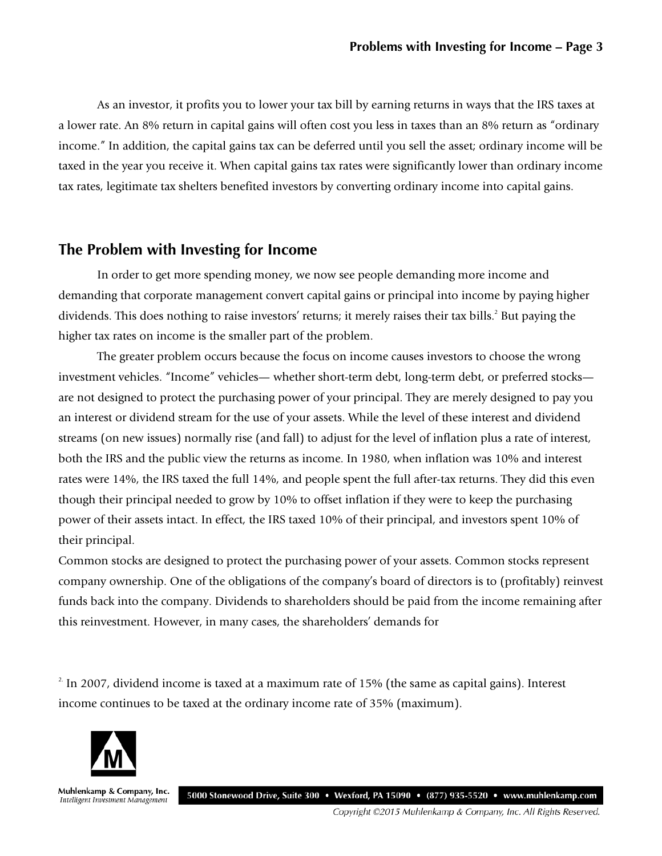As an investor, it profits you to lower your tax bill by earning returns in ways that the IRS taxes at a lower rate. An 8% return in capital gains will often cost you less in taxes than an 8% return as "ordinary income." In addition, the capital gains tax can be deferred until you sell the asset; ordinary income will be taxed in the year you receive it. When capital gains tax rates were significantly lower than ordinary income tax rates, legitimate tax shelters benefited investors by converting ordinary income into capital gains.

### **The Problem with Investing for Income**

In order to get more spending money, we now see people demanding more income and demanding that corporate management convert capital gains or principal into income by paying higher dividends. This does nothing to raise investors' returns; it merely raises their tax bills.<sup>2</sup> But paying the higher tax rates on income is the smaller part of the problem.

The greater problem occurs because the focus on income causes investors to choose the wrong investment vehicles. "Income" vehicles— whether short-term debt, long-term debt, or preferred stocks are not designed to protect the purchasing power of your principal. They are merely designed to pay you an interest or dividend stream for the use of your assets. While the level of these interest and dividend streams (on new issues) normally rise (and fall) to adjust for the level of inflation plus a rate of interest, both the IRS and the public view the returns as income. In 1980, when inflation was 10% and interest rates were 14%, the IRS taxed the full 14%, and people spent the full after-tax returns. They did this even though their principal needed to grow by 10% to offset inflation if they were to keep the purchasing power of their assets intact. In effect, the IRS taxed 10% of their principal, and investors spent 10% of their principal.

Common stocks are designed to protect the purchasing power of your assets. Common stocks represent company ownership. One of the obligations of the company's board of directors is to (profitably) reinvest funds back into the company. Dividends to shareholders should be paid from the income remaining after this reinvestment. However, in many cases, the shareholders' demands for

 $2$ . In 2007, dividend income is taxed at a maximum rate of 15% (the same as capital gains). Interest income continues to be taxed at the ordinary income rate of 35% (maximum).



Muhlenkamp & Company, Inc. Intelligent Investment Management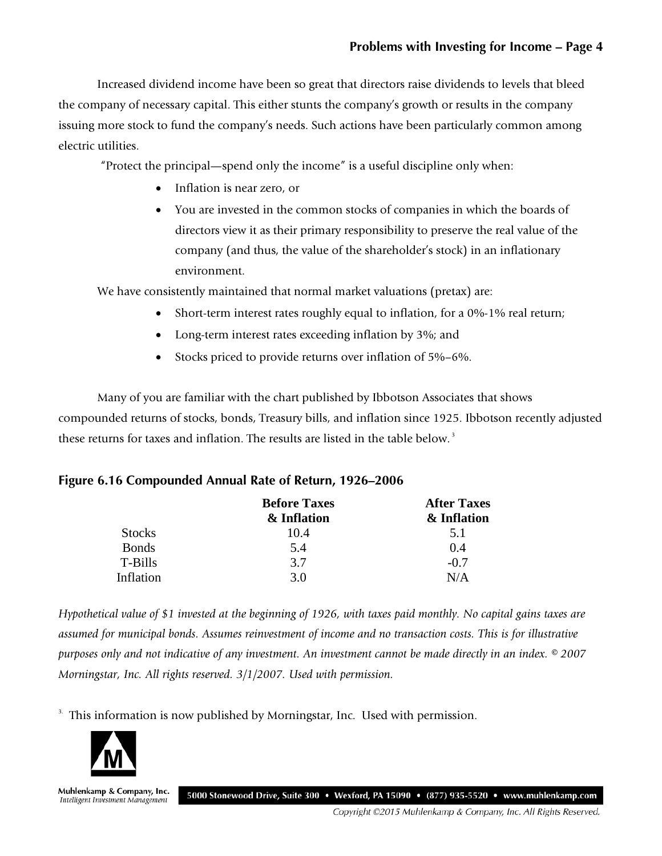Increased dividend income have been so great that directors raise dividends to levels that bleed the company of necessary capital. This either stunts the company's growth or results in the company issuing more stock to fund the company's needs. Such actions have been particularly common among electric utilities.

"Protect the principal—spend only the income" is a useful discipline only when:

- Inflation is near zero, or
- You are invested in the common stocks of companies in which the boards of directors view it as their primary responsibility to preserve the real value of the company (and thus, the value of the shareholder's stock) in an inflationary environment.

We have consistently maintained that normal market valuations (pretax) are:

- Short-term interest rates roughly equal to inflation, for a 0%-1% real return;
- Long-term interest rates exceeding inflation by 3%; and
- Stocks priced to provide returns over inflation of 5%–6%.

Many of you are familiar with the chart published by Ibbotson Associates that shows compounded returns of stocks, bonds, Treasury bills, and inflation since 1925. Ibbotson recently adjusted these returns for taxes and inflation. The results are listed in the table below.<sup>3</sup>

#### **Figure 6.16 Compounded Annual Rate of Return, 1926–2006**

|               | <b>Before Taxes</b><br>& Inflation | <b>After Taxes</b><br>& Inflation |
|---------------|------------------------------------|-----------------------------------|
| <b>Stocks</b> | 10.4                               | 5.1                               |
| <b>Bonds</b>  | 5.4                                | 0.4                               |
| T-Bills       | 3.7                                | $-0.7$                            |
| Inflation     | 3.0                                | N/A                               |

*Hypothetical value of \$1 invested at the beginning of 1926, with taxes paid monthly. No capital gains taxes are assumed for municipal bonds. Assumes reinvestment of income and no transaction costs. This is for illustrative purposes only and not indicative of any investment. An investment cannot be made directly in an index. © 2007 Morningstar, Inc. All rights reserved. 3/1/2007. Used with permission.*

<sup>3.</sup> This information is now published by Morningstar, Inc. Used with permission.



Muhlenkamp & Company, Inc. 5000 Stonewood Drive, Suite 300 • Wexford, PA 15090 • (877) 935-5520 • www.muhlenkamp.com Intelligent Investment Management

Copyright ©2015 Muhlenkamp & Company, Inc. All Rights Reserved.